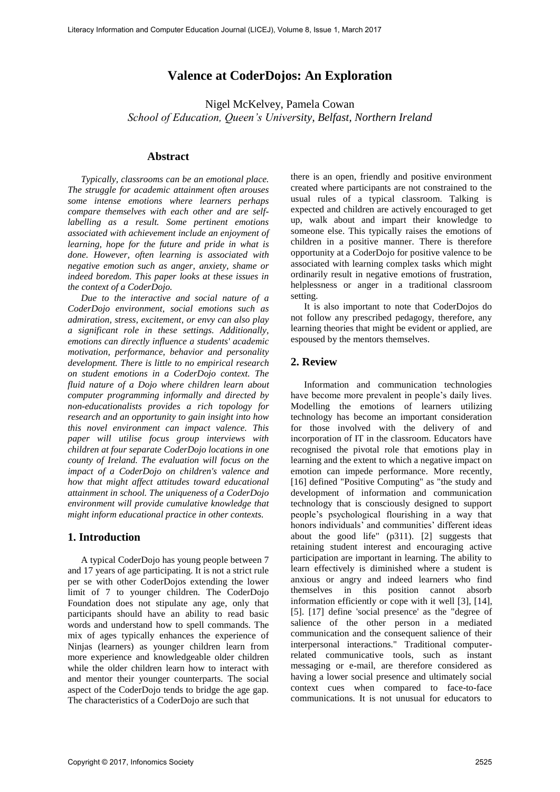## **Valence at CoderDojos: An Exploration**

Nigel McKelvey, Pamela Cowan *School of Education, Queen's University, Belfast, Northern Ireland* 

### **Abstract**

*Typically, classrooms can be an emotional place. The struggle for academic attainment often arouses some intense emotions where learners perhaps compare themselves with each other and are selflabelling as a result. Some pertinent emotions associated with achievement include an enjoyment of learning, hope for the future and pride in what is done. However, often learning is associated with negative emotion such as anger, anxiety, shame or indeed boredom. This paper looks at these issues in the context of a CoderDojo.* 

*Due to the interactive and social nature of a CoderDojo environment, social emotions such as admiration, stress, excitement, or envy can also play a significant role in these settings. Additionally, emotions can directly influence a students' academic motivation, performance, behavior and personality development. There is little to no empirical research on student emotions in a CoderDojo context. The fluid nature of a Dojo where children learn about computer programming informally and directed by non-educationalists provides a rich topology for research and an opportunity to gain insight into how this novel environment can impact valence. This paper will utilise focus group interviews with children at four separate CoderDojo locations in one county of Ireland. The evaluation will focus on the impact of a CoderDojo on children's valence and how that might affect attitudes toward educational attainment in school. The uniqueness of a CoderDojo environment will provide cumulative knowledge that might inform educational practice in other contexts.* 

#### **1. Introduction**

A typical CoderDojo has young people between 7 and 17 years of age participating. It is not a strict rule per se with other CoderDojos extending the lower limit of 7 to younger children. The CoderDojo Foundation does not stipulate any age, only that participants should have an ability to read basic words and understand how to spell commands. The mix of ages typically enhances the experience of Ninjas (learners) as younger children learn from more experience and knowledgeable older children while the older children learn how to interact with and mentor their younger counterparts. The social aspect of the CoderDojo tends to bridge the age gap. The characteristics of a CoderDojo are such that

there is an open, friendly and positive environment created where participants are not constrained to the usual rules of a typical classroom. Talking is expected and children are actively encouraged to get up, walk about and impart their knowledge to someone else. This typically raises the emotions of children in a positive manner. There is therefore opportunity at a CoderDojo for positive valence to be associated with learning complex tasks which might ordinarily result in negative emotions of frustration, helplessness or anger in a traditional classroom setting.

It is also important to note that CoderDojos do not follow any prescribed pedagogy, therefore, any learning theories that might be evident or applied, are espoused by the mentors themselves.

#### **2. Review**

Information and communication technologies have become more prevalent in people's daily lives. Modelling the emotions of learners utilizing technology has become an important consideration for those involved with the delivery of and incorporation of IT in the classroom. Educators have recognised the pivotal role that emotions play in learning and the extent to which a negative impact on emotion can impede performance. More recently, [16] defined "Positive Computing" as "the study and development of information and communication technology that is consciously designed to support people's psychological flourishing in a way that honors individuals' and communities' different ideas about the good life" (p311). [2] suggests that retaining student interest and encouraging active participation are important in learning. The ability to learn effectively is diminished where a student is anxious or angry and indeed learners who find themselves in this position cannot absorb information efficiently or cope with it well [3], [14], [5]. [17] define 'social presence' as the "degree of salience of the other person in a mediated communication and the consequent salience of their interpersonal interactions." Traditional computerrelated communicative tools, such as instant messaging or e-mail, are therefore considered as having a lower social presence and ultimately social context cues when compared to face-to-face communications. It is not unusual for educators to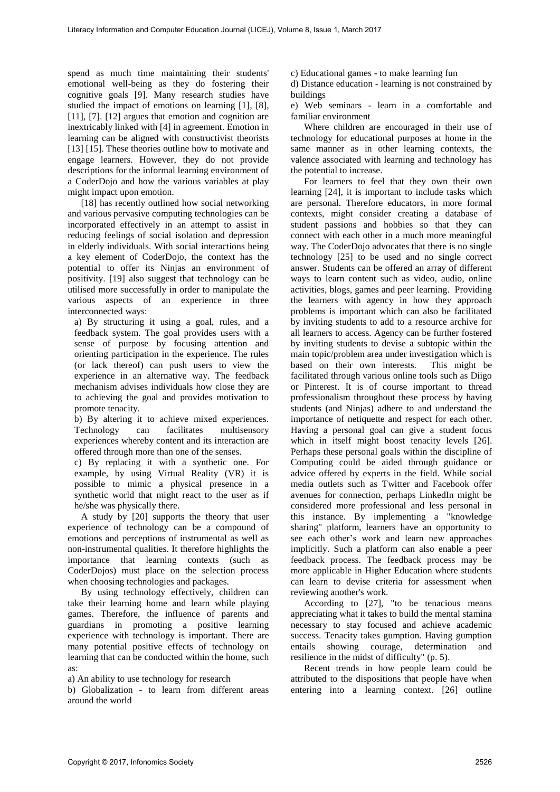spend as much time maintaining their students' emotional well-being as they do fostering their cognitive goals [9]. Many research studies have studied the impact of emotions on learning [1], [8], [11], [7]. [12] argues that emotion and cognition are inextricably linked with [4] in agreement. Emotion in learning can be aligned with constructivist theorists [13] [15]. These theories outline how to motivate and engage learners. However, they do not provide descriptions for the informal learning environment of a CoderDojo and how the various variables at play might impact upon emotion.

[18] has recently outlined how social networking and various pervasive computing technologies can be incorporated effectively in an attempt to assist in reducing feelings of social isolation and depression in elderly individuals. With social interactions being a key element of CoderDojo, the context has the potential to offer its Ninjas an environment of positivity. [19] also suggest that technology can be utilised more successfully in order to manipulate the various aspects of an experience in three interconnected ways:

a) By structuring it using a goal, rules, and a feedback system. The goal provides users with a sense of purpose by focusing attention and orienting participation in the experience. The rules (or lack thereof) can push users to view the experience in an alternative way. The feedback mechanism advises individuals how close they are to achieving the goal and provides motivation to promote tenacity.

b) By altering it to achieve mixed experiences. Technology can facilitates multisensory experiences whereby content and its interaction are offered through more than one of the senses.

c) By replacing it with a synthetic one. For example, by using Virtual Reality (VR) it is possible to mimic a physical presence in a synthetic world that might react to the user as if he/she was physically there.

A study by [20] supports the theory that user experience of technology can be a compound of emotions and perceptions of instrumental as well as non-instrumental qualities. It therefore highlights the importance that learning contexts (such as CoderDojos) must place on the selection process when choosing technologies and packages.

By using technology effectively, children can take their learning home and learn while playing games. Therefore, the influence of parents and guardians in promoting a positive learning experience with technology is important. There are many potential positive effects of technology on learning that can be conducted within the home, such as:

a) An ability to use technology for research

b) Globalization - to learn from different areas around the world

c) Educational games - to make learning fun

d) Distance education - learning is not constrained by buildings

e) Web seminars - learn in a comfortable and familiar environment

Where children are encouraged in their use of technology for educational purposes at home in the same manner as in other learning contexts, the valence associated with learning and technology has the potential to increase.

For learners to feel that they own their own learning [24], it is important to include tasks which are personal. Therefore educators, in more formal contexts, might consider creating a database of student passions and hobbies so that they can connect with each other in a much more meaningful way. The CoderDojo advocates that there is no single technology [25] to be used and no single correct answer. Students can be offered an array of different ways to learn content such as video, audio, online activities, blogs, games and peer learning. Providing the learners with agency in how they approach problems is important which can also be facilitated by inviting students to add to a resource archive for all learners to access. Agency can be further fostered by inviting students to devise a subtopic within the main topic/problem area under investigation which is<br>based on their own interests. This might be based on their own interests. facilitated through various online tools such as Diigo or Pinterest. It is of course important to thread professionalism throughout these process by having students (and Ninjas) adhere to and understand the importance of netiquette and respect for each other. Having a personal goal can give a student focus which in itself might boost tenacity levels [26]. Perhaps these personal goals within the discipline of Computing could be aided through guidance or advice offered by experts in the field. While social media outlets such as Twitter and Facebook offer avenues for connection, perhaps LinkedIn might be considered more professional and less personal in this instance. By implementing a "knowledge sharing" platform, learners have an opportunity to see each other's work and learn new approaches implicitly. Such a platform can also enable a peer feedback process. The feedback process may be more applicable in Higher Education where students can learn to devise criteria for assessment when reviewing another's work.

According to [27], "to be tenacious means appreciating what it takes to build the mental stamina necessary to stay focused and achieve academic success. Tenacity takes gumption. Having gumption entails showing courage, determination and resilience in the midst of difficulty" (p. 5).

Recent trends in how people learn could be attributed to the dispositions that people have when entering into a learning context. [26] outline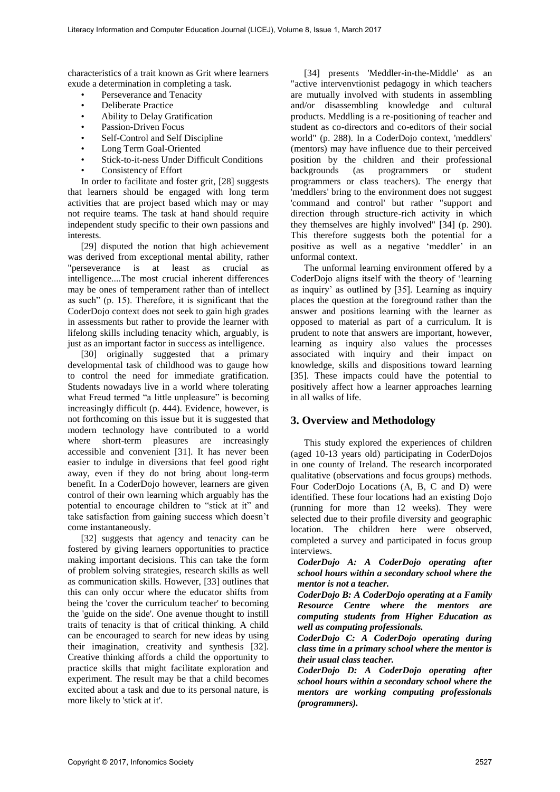characteristics of a trait known as Grit where learners exude a determination in completing a task.

- Perseverance and Tenacity
- Deliberate Practice
- Ability to Delay Gratification
- Passion-Driven Focus
- Self-Control and Self Discipline
- Long Term Goal-Oriented
- Stick-to-it-ness Under Difficult Conditions
- Consistency of Effort

In order to facilitate and foster grit, [28] suggests that learners should be engaged with long term activities that are project based which may or may not require teams. The task at hand should require independent study specific to their own passions and interests.

[29] disputed the notion that high achievement was derived from exceptional mental ability, rather "perseverance is at least as crucial as intelligence....The most crucial inherent differences may be ones of temperament rather than of intellect as such" (p. 15). Therefore, it is significant that the CoderDojo context does not seek to gain high grades in assessments but rather to provide the learner with lifelong skills including tenacity which, arguably, is just as an important factor in success as intelligence.

[30] originally suggested that a primary developmental task of childhood was to gauge how to control the need for immediate gratification. Students nowadays live in a world where tolerating what Freud termed "a little unpleasure" is becoming increasingly difficult (p. 444). Evidence, however, is not forthcoming on this issue but it is suggested that modern technology have contributed to a world where short-term pleasures are increasingly accessible and convenient [31]. It has never been easier to indulge in diversions that feel good right away, even if they do not bring about long-term benefit. In a CoderDojo however, learners are given control of their own learning which arguably has the potential to encourage children to "stick at it" and take satisfaction from gaining success which doesn't come instantaneously.

[32] suggests that agency and tenacity can be fostered by giving learners opportunities to practice making important decisions. This can take the form of problem solving strategies, research skills as well as communication skills. However, [33] outlines that this can only occur where the educator shifts from being the 'cover the curriculum teacher' to becoming the 'guide on the side'. One avenue thought to instill traits of tenacity is that of critical thinking. A child can be encouraged to search for new ideas by using their imagination, creativity and synthesis [32]. Creative thinking affords a child the opportunity to practice skills that might facilitate exploration and experiment. The result may be that a child becomes excited about a task and due to its personal nature, is more likely to 'stick at it'.

[34] presents 'Meddler-in-the-Middle' as an "active intervenvtionist pedagogy in which teachers are mutually involved with students in assembling and/or disassembling knowledge and cultural products. Meddling is a re-positioning of teacher and student as co-directors and co-editors of their social world" (p. 288). In a CoderDojo context, 'meddlers' (mentors) may have influence due to their perceived position by the children and their professional<br>backgrounds (as programmers or student (as programmers or student programmers or class teachers). The energy that 'meddlers' bring to the environment does not suggest 'command and control' but rather "support and direction through structure-rich activity in which they themselves are highly involved" [34] (p. 290). This therefore suggests both the potential for a positive as well as a negative 'meddler' in an unformal context.

The unformal learning environment offered by a CoderDojo aligns itself with the theory of 'learning as inquiry' as outlined by [35]. Learning as inquiry places the question at the foreground rather than the answer and positions learning with the learner as opposed to material as part of a curriculum. It is prudent to note that answers are important, however, learning as inquiry also values the processes associated with inquiry and their impact on knowledge, skills and dispositions toward learning [35]. These impacts could have the potential to positively affect how a learner approaches learning in all walks of life.

## **3. Overview and Methodology**

This study explored the experiences of children (aged 10-13 years old) participating in CoderDojos in one county of Ireland. The research incorporated qualitative (observations and focus groups) methods. Four CoderDojo Locations (A, B, C and D) were identified. These four locations had an existing Dojo (running for more than 12 weeks). They were selected due to their profile diversity and geographic location. The children here were observed, completed a survey and participated in focus group interviews.

*CoderDojo A: A CoderDojo operating after school hours within a secondary school where the mentor is not a teacher.* 

*CoderDojo B: A CoderDojo operating at a Family Resource Centre where the mentors are computing students from Higher Education as well as computing professionals.* 

*CoderDojo C: A CoderDojo operating during class time in a primary school where the mentor is their usual class teacher.* 

*CoderDojo D: A CoderDojo operating after school hours within a secondary school where the mentors are working computing professionals (programmers).*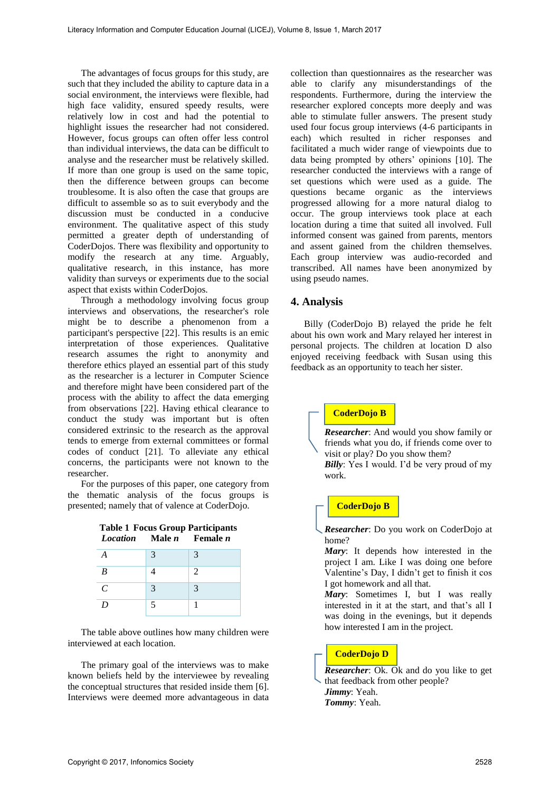The advantages of focus groups for this study, are such that they included the ability to capture data in a social environment, the interviews were flexible, had high face validity, ensured speedy results, were relatively low in cost and had the potential to highlight issues the researcher had not considered. However, focus groups can often offer less control than individual interviews, the data can be difficult to analyse and the researcher must be relatively skilled. If more than one group is used on the same topic, then the difference between groups can become troublesome. It is also often the case that groups are difficult to assemble so as to suit everybody and the discussion must be conducted in a conducive environment. The qualitative aspect of this study permitted a greater depth of understanding of CoderDojos. There was flexibility and opportunity to modify the research at any time. Arguably, qualitative research, in this instance, has more validity than surveys or experiments due to the social aspect that exists within CoderDojos.

Through a methodology involving focus group interviews and observations, the researcher's role might be to describe a phenomenon from a participant's perspective [22]. This results is an emic interpretation of those experiences. Qualitative research assumes the right to anonymity and therefore ethics played an essential part of this study as the researcher is a lecturer in Computer Science and therefore might have been considered part of the process with the ability to affect the data emerging from observations [22]. Having ethical clearance to conduct the study was important but is often considered extrinsic to the research as the approval tends to emerge from external committees or formal codes of conduct [21]. To alleviate any ethical concerns, the participants were not known to the researcher.

For the purposes of this paper, one category from the thematic analysis of the focus groups is presented; namely that of valence at CoderDojo.

|                 | <b>Table 1 Focus Group Participants</b> |                 |
|-----------------|-----------------------------------------|-----------------|
| <b>Location</b> | Male <i>n</i>                           | Female <i>n</i> |

| Locumon nauch renaich |   |   |
|-----------------------|---|---|
| A                     | 3 | 3 |
| B                     |   | 2 |
| $\mathcal{C}_{0}^{0}$ | 3 | 3 |
| D                     | 5 |   |

The table above outlines how many children were interviewed at each location.

The primary goal of the interviews was to make known beliefs held by the interviewee by revealing the conceptual structures that resided inside them [6]. Interviews were deemed more advantageous in data

collection than questionnaires as the researcher was able to clarify any misunderstandings of the respondents. Furthermore, during the interview the researcher explored concepts more deeply and was able to stimulate fuller answers. The present study used four focus group interviews (4-6 participants in each) which resulted in richer responses and facilitated a much wider range of viewpoints due to data being prompted by others' opinions [10]. The researcher conducted the interviews with a range of set questions which were used as a guide. The questions became organic as the interviews progressed allowing for a more natural dialog to occur. The group interviews took place at each location during a time that suited all involved. Full informed consent was gained from parents, mentors and assent gained from the children themselves. Each group interview was audio-recorded and transcribed. All names have been anonymized by using pseudo names.

#### **4. Analysis**

Billy (CoderDojo B) relayed the pride he felt about his own work and Mary relayed her interest in personal projects. The children at location D also enjoyed receiving feedback with Susan using this feedback as an opportunity to teach her sister.

## **CoderDojo B**

*Researcher*: And would you show family or friends what you do, if friends come over to visit or play? Do you show them?

#### **CoderDojo B**

*Researcher*: Do you work on CoderDojo at home?

*Mary*: It depends how interested in the project I am. Like I was doing one before Valentine's Day, I didn't get to finish it cos I got homework and all that.

*Mary*: Sometimes I, but I was really interested in it at the start, and that's all I was doing in the evenings, but it depends how interested I am in the project.

## **CoderDojo D**

*Researcher:* Ok. Ok and do you like to get that feedback from other people? *Jimmy*: Yeah. *Tommy*: Yeah.

*Billy*: Yes I would. I'd be very proud of my work.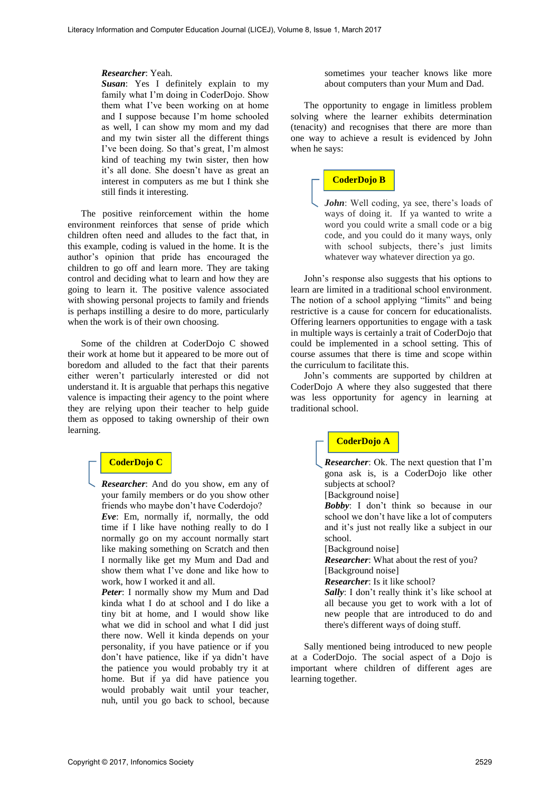#### *Researcher*: Yeah.

*Susan*: Yes I definitely explain to my family what I'm doing in CoderDojo. Show them what I've been working on at home and I suppose because I'm home schooled as well, I can show my mom and my dad and my twin sister all the different things I've been doing. So that's great, I'm almost kind of teaching my twin sister, then how it's all done. She doesn't have as great an interest in computers as me but I think she still finds it interesting.

The positive reinforcement within the home environment reinforces that sense of pride which children often need and alludes to the fact that, in this example, coding is valued in the home. It is the author's opinion that pride has encouraged the children to go off and learn more. They are taking control and deciding what to learn and how they are going to learn it. The positive valence associated with showing personal projects to family and friends is perhaps instilling a desire to do more, particularly when the work is of their own choosing.

Some of the children at CoderDojo C showed their work at home but it appeared to be more out of boredom and alluded to the fact that their parents either weren't particularly interested or did not understand it. It is arguable that perhaps this negative valence is impacting their agency to the point where they are relying upon their teacher to help guide them as opposed to taking ownership of their own learning.

## **CoderDojo C**

*Researcher*: And do you show, em any of your family members or do you show other friends who maybe don't have Coderdojo? *Eve*: Em, normally if, normally, the odd time if I like have nothing really to do I normally go on my account normally start like making something on Scratch and then I normally like get my Mum and Dad and show them what I've done and like how to work, how I worked it and all.

*Peter*: I normally show my Mum and Dad kinda what I do at school and I do like a tiny bit at home, and I would show like what we did in school and what I did just there now. Well it kinda depends on your personality, if you have patience or if you don't have patience, like if ya didn't have the patience you would probably try it at home. But if ya did have patience you would probably wait until your teacher, nuh, until you go back to school, because sometimes your teacher knows like more about computers than your Mum and Dad.

The opportunity to engage in limitless problem solving where the learner exhibits determination (tenacity) and recognises that there are more than one way to achieve a result is evidenced by John when he says:

## **CoderDojo B**

*John*: Well coding, ya see, there's loads of ways of doing it. If ya wanted to write a word you could write a small code or a big code, and you could do it many ways, only with school subjects, there's just limits whatever way whatever direction ya go.

John's response also suggests that his options to learn are limited in a traditional school environment. The notion of a school applying "limits" and being restrictive is a cause for concern for educationalists. Offering learners opportunities to engage with a task in multiple ways is certainly a trait of CoderDojo that could be implemented in a school setting. This of course assumes that there is time and scope within the curriculum to facilitate this.

John's comments are supported by children at CoderDojo A where they also suggested that there was less opportunity for agency in learning at traditional school.

### **CoderDojo A**

*Researcher*: Ok. The next question that I'm gona ask is, is a CoderDojo like other subjects at school? [Background noise]

*Bobby*: I don't think so because in our school we don't have like a lot of computers and it's just not really like a subject in our school.

[Background noise]

*Researcher*: What about the rest of you? [Background noise]

*Researcher*: Is it like school?

Sally: I don't really think it's like school at all because you get to work with a lot of new people that are introduced to do and there's different ways of doing stuff.

Sally mentioned being introduced to new people at a CoderDojo. The social aspect of a Dojo is important where children of different ages are learning together.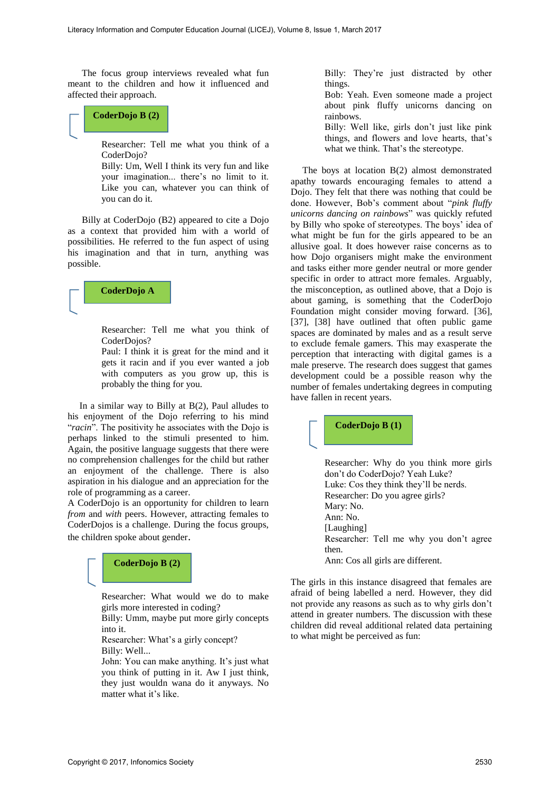The focus group interviews revealed what fun meant to the children and how it influenced and affected their approach.

# **CoderDojo B (2)**

Researcher: Tell me what you think of a CoderDojo?

Billy: Um, Well I think its very fun and like your imagination... there's no limit to it. Like you can, whatever you can think of you can do it.

 Billy at CoderDojo (B2) appeared to cite a Dojo as a context that provided him with a world of possibilities. He referred to the fun aspect of using his imagination and that in turn, anything was possible.

#### **CoderDojo A**

Researcher: Tell me what you think of CoderDojos?

Paul: I think it is great for the mind and it gets it racin and if you ever wanted a job with computers as you grow up, this is probably the thing for you.

 In a similar way to Billy at B(2), Paul alludes to his enjoyment of the Dojo referring to his mind "*racin*". The positivity he associates with the Dojo is perhaps linked to the stimuli presented to him. Again, the positive language suggests that there were no comprehension challenges for the child but rather an enjoyment of the challenge. There is also aspiration in his dialogue and an appreciation for the role of programming as a career.

A CoderDojo is an opportunity for children to learn *from* and *with* peers. However, attracting females to CoderDojos is a challenge. During the focus groups, the children spoke about gender.

## **CoderDojo B (2)**

Researcher: What would we do to make girls more interested in coding?

Billy: Umm, maybe put more girly concepts into it.

Researcher: What's a girly concept? Billy: Well...

John: You can make anything. It's just what you think of putting in it. Aw I just think, they just wouldn wana do it anyways. No matter what it's like.

Billy: They're just distracted by other things.

Bob: Yeah. Even someone made a project about pink fluffy unicorns dancing on rainbows.

Billy: Well like, girls don't just like pink things, and flowers and love hearts, that's what we think. That's the stereotype.

 The boys at location B(2) almost demonstrated apathy towards encouraging females to attend a Dojo. They felt that there was nothing that could be done. However, Bob's comment about "*pink fluffy unicorns dancing on rainbows*" was quickly refuted by Billy who spoke of stereotypes. The boys' idea of what might be fun for the girls appeared to be an allusive goal. It does however raise concerns as to how Dojo organisers might make the environment and tasks either more gender neutral or more gender specific in order to attract more females. Arguably, the misconception, as outlined above, that a Dojo is about gaming, is something that the CoderDojo Foundation might consider moving forward. [36], [37], [38] have outlined that often public game spaces are dominated by males and as a result serve to exclude female gamers. This may exasperate the perception that interacting with digital games is a male preserve. The research does suggest that games development could be a possible reason why the number of females undertaking degrees in computing have fallen in recent years.

## **CoderDojo B (1)**

Researcher: Why do you think more girls don't do CoderDojo? Yeah Luke? Luke: Cos they think they'll be nerds. Researcher: Do you agree girls? Mary: No. Ann: No. [Laughing] Researcher: Tell me why you don't agree then.

Ann: Cos all girls are different.

The girls in this instance disagreed that females are afraid of being labelled a nerd. However, they did not provide any reasons as such as to why girls don't attend in greater numbers. The discussion with these children did reveal additional related data pertaining to what might be perceived as fun: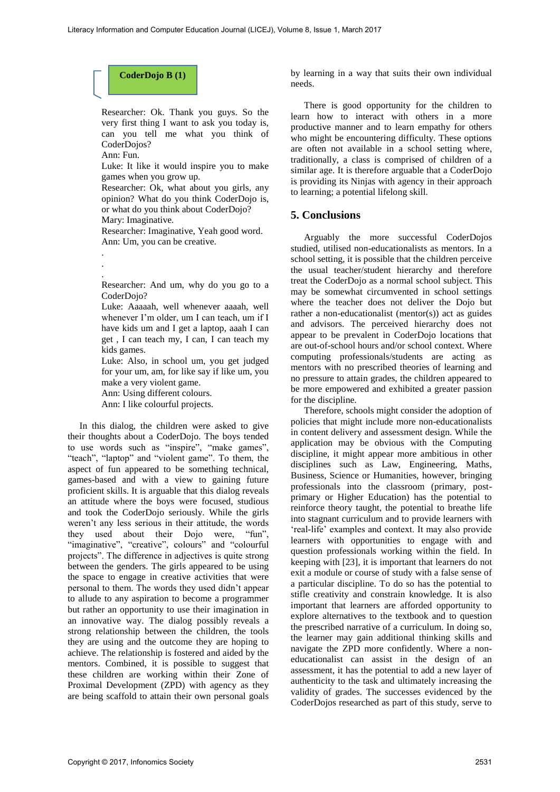

Researcher: Ok. Thank you guys. So the very first thing I want to ask you today is, can you tell me what you think of CoderDojos?

Ann: Fun.

Luke: It like it would inspire you to make games when you grow up.

Researcher: Ok, what about you girls, any opinion? What do you think CoderDojo is, or what do you think about CoderDojo?

Mary: Imaginative.

Researcher: Imaginative, Yeah good word. Ann: Um, you can be creative.

. . .

> Researcher: And um, why do you go to a CoderDoio?

> Luke: Aaaaah, well whenever aaaah, well whenever I'm older, um I can teach, um if I have kids um and I get a laptop, aaah I can get , I can teach my, I can, I can teach my kids games.

> Luke: Also, in school um, you get judged for your um, am, for like say if like um, you make a very violent game.

Ann: Using different colours. Ann: I like colourful projects.

 In this dialog, the children were asked to give their thoughts about a CoderDojo. The boys tended to use words such as "inspire", "make games", "teach", "laptop" and "violent game". To them, the aspect of fun appeared to be something technical, games-based and with a view to gaining future proficient skills. It is arguable that this dialog reveals an attitude where the boys were focused, studious and took the CoderDojo seriously. While the girls weren't any less serious in their attitude, the words they used about their Dojo were, "fun", "imaginative", "creative", colours" and "colourful projects". The difference in adjectives is quite strong between the genders. The girls appeared to be using the space to engage in creative activities that were personal to them. The words they used didn't appear to allude to any aspiration to become a programmer but rather an opportunity to use their imagination in an innovative way. The dialog possibly reveals a strong relationship between the children, the tools they are using and the outcome they are hoping to achieve. The relationship is fostered and aided by the mentors. Combined, it is possible to suggest that these children are working within their Zone of Proximal Development (ZPD) with agency as they are being scaffold to attain their own personal goals by learning in a way that suits their own individual needs.

There is good opportunity for the children to learn how to interact with others in a more productive manner and to learn empathy for others who might be encountering difficulty. These options are often not available in a school setting where, traditionally, a class is comprised of children of a similar age. It is therefore arguable that a CoderDojo is providing its Ninjas with agency in their approach to learning; a potential lifelong skill.

## **5. Conclusions**

Arguably the more successful CoderDojos studied, utilised non-educationalists as mentors. In a school setting, it is possible that the children perceive the usual teacher/student hierarchy and therefore treat the CoderDojo as a normal school subject. This may be somewhat circumvented in school settings where the teacher does not deliver the Dojo but rather a non-educationalist (mentor(s)) act as guides and advisors. The perceived hierarchy does not appear to be prevalent in CoderDojo locations that are out-of-school hours and/or school context. Where computing professionals/students are acting as mentors with no prescribed theories of learning and no pressure to attain grades, the children appeared to be more empowered and exhibited a greater passion for the discipline.

Therefore, schools might consider the adoption of policies that might include more non-educationalists in content delivery and assessment design. While the application may be obvious with the Computing discipline, it might appear more ambitious in other disciplines such as Law, Engineering, Maths, Business, Science or Humanities, however, bringing professionals into the classroom (primary, postprimary or Higher Education) has the potential to reinforce theory taught, the potential to breathe life into stagnant curriculum and to provide learners with 'real-life' examples and context. It may also provide learners with opportunities to engage with and question professionals working within the field. In keeping with [23], it is important that learners do not exit a module or course of study with a false sense of a particular discipline. To do so has the potential to stifle creativity and constrain knowledge. It is also important that learners are afforded opportunity to explore alternatives to the textbook and to question the prescribed narrative of a curriculum. In doing so, the learner may gain additional thinking skills and navigate the ZPD more confidently. Where a noneducationalist can assist in the design of an assessment, it has the potential to add a new layer of authenticity to the task and ultimately increasing the validity of grades. The successes evidenced by the CoderDojos researched as part of this study, serve to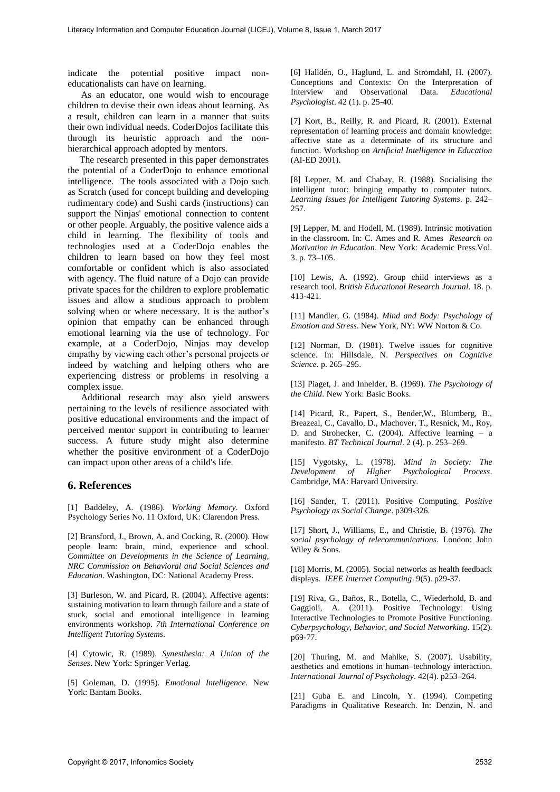indicate the potential positive impact noneducationalists can have on learning.

As an educator, one would wish to encourage children to devise their own ideas about learning. As a result, children can learn in a manner that suits their own individual needs. CoderDojos facilitate this through its heuristic approach and the nonhierarchical approach adopted by mentors.

 The research presented in this paper demonstrates the potential of a CoderDojo to enhance emotional intelligence. The tools associated with a Dojo such as Scratch (used for concept building and developing rudimentary code) and Sushi cards (instructions) can support the Ninjas' emotional connection to content or other people. Arguably, the positive valence aids a child in learning. The flexibility of tools and technologies used at a CoderDojo enables the children to learn based on how they feel most comfortable or confident which is also associated with agency. The fluid nature of a Dojo can provide private spaces for the children to explore problematic issues and allow a studious approach to problem solving when or where necessary. It is the author's opinion that empathy can be enhanced through emotional learning via the use of technology. For example, at a CoderDojo, Ninjas may develop empathy by viewing each other's personal projects or indeed by watching and helping others who are experiencing distress or problems in resolving a complex issue.

Additional research may also yield answers pertaining to the levels of resilience associated with positive educational environments and the impact of perceived mentor support in contributing to learner success. A future study might also determine whether the positive environment of a CoderDojo can impact upon other areas of a child's life.

## **6. References**

[1] Baddeley, A. (1986). *Working Memory*. Oxford Psychology Series No. 11 Oxford, UK: Clarendon Press.

[2] Bransford, J., Brown, A. and Cocking, R. (2000). How people learn: brain, mind, experience and school. *Committee on Developments in the Science of Learning, NRC Commission on Behavioral and Social Sciences and Education*. Washington, DC: National Academy Press.

[3] Burleson, W. and Picard, R. (2004). Affective agents: sustaining motivation to learn through failure and a state of stuck, social and emotional intelligence in learning environments workshop. *7th International Conference on Intelligent Tutoring Systems*.

[4] Cytowic, R. (1989). *Synesthesia: A Union of the Senses*. New York: Springer Verlag.

[5] Goleman, D. (1995). *Emotional Intelligence*. New York: Bantam Books.

[6] Halldén, O., Haglund, L. and Strömdahl, H. (2007). Conceptions and Contexts: On the Interpretation of Interview and Observational Data. *Educational* **Observational** *Psychologist*. 42 (1). p. 25-40.

[7] Kort, B., Reilly, R. and Picard, R. (2001). External representation of learning process and domain knowledge: affective state as a determinate of its structure and function. Workshop on *Artificial Intelligence in Education* (AI-ED 2001).

[8] Lepper, M. and Chabay, R. (1988). Socialising the intelligent tutor: bringing empathy to computer tutors. *Learning Issues for Intelligent Tutoring Systems*. p. 242– 257.

[9] Lepper, M. and Hodell, M. (1989). Intrinsic motivation in the classroom. In: C. Ames and R. Ames *Research on Motivation in Education*. New York: Academic Press.Vol. 3. p. 73–105.

[10] Lewis, A. (1992). Group child interviews as a research tool. *British Educational Research Journal*. 18. p. 413-421.

[11] Mandler, G. (1984). *Mind and Body: Psychology of Emotion and Stress*. New York, NY: WW Norton & Co.

[12] Norman, D. (1981). Twelve issues for cognitive science. In: Hillsdale, N. *Perspectives on Cognitive Science*. p. 265–295.

[13] Piaget, J. and Inhelder, B. (1969). *The Psychology of the Child*. New York: Basic Books.

[14] Picard, R., Papert, S., Bender,W., Blumberg, B., Breazeal, C., Cavallo, D., Machover, T., Resnick, M., Roy, D. and Strohecker, C. (2004). Affective learning – a manifesto. *BT Technical Journal*. 2 (4). p. 253–269.

[15] Vygotsky, L. (1978). *Mind in Society: The Development of Higher Psychological Process*. Cambridge, MA: Harvard University.

[16] Sander, T. (2011). Positive Computing. *Positive Psychology as Social Change*. p309-326.

[17] Short, J., Williams, E., and Christie, B. (1976). *The social psychology of telecommunications*. London: John Wiley & Sons.

[18] Morris, M. (2005). Social networks as health feedback displays. *IEEE Internet Computing*. 9(5). p29-37.

[19] Riva, G., Baños, R., Botella, C., Wiederhold, B. and Gaggioli, A. (2011). Positive Technology: Using Interactive Technologies to Promote Positive Functioning. *Cyberpsychology, Behavior, and Social Networking*. 15(2). p69-77.

[20] Thuring, M. and Mahlke, S. (2007). Usability, aesthetics and emotions in human–technology interaction. *International Journal of Psychology*. 42(4). p253–264.

[21] Guba E. and Lincoln, Y. (1994). Competing Paradigms in Qualitative Research. In: Denzin, N. and